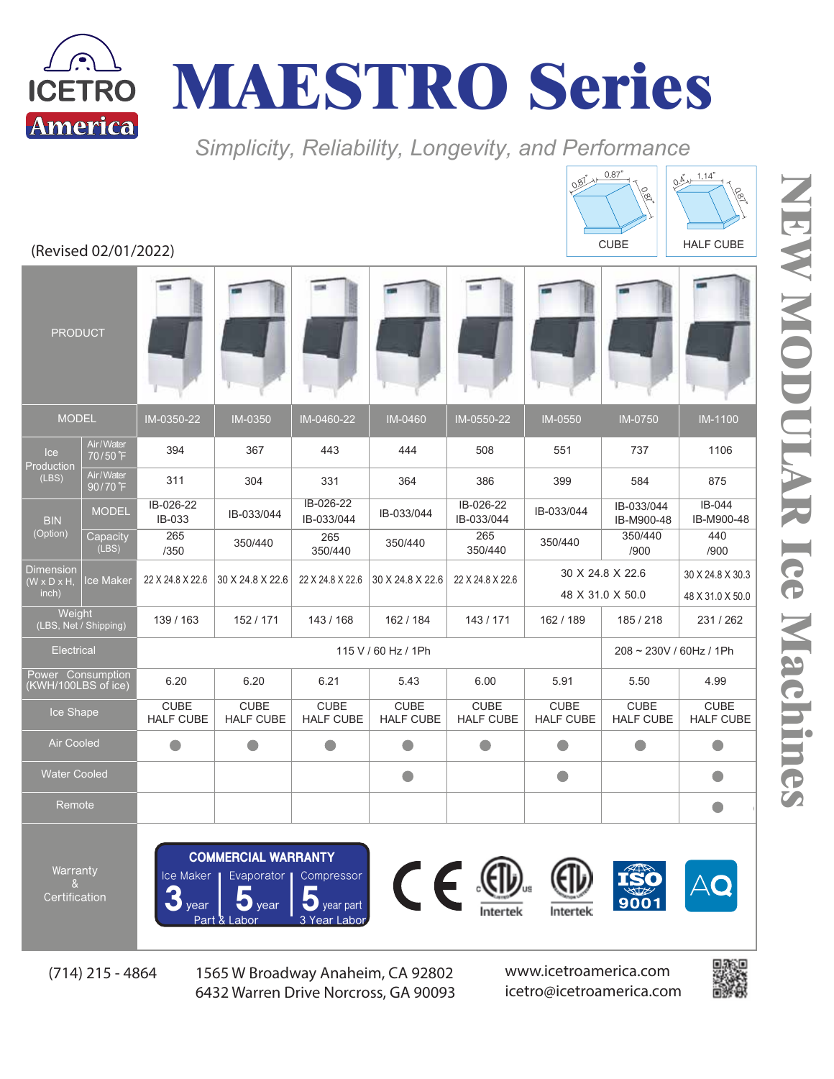



Simplicity, Reliability, Longevity, and Performance

| (Revised 02/01/2022)                                 |                       |                                 |                                 |                                 |                                 |                                 |                                      | $\sqrt{5}$<br><b>CUBE</b>       | lø'<br><b>HALF CUBE</b>              |
|------------------------------------------------------|-----------------------|---------------------------------|---------------------------------|---------------------------------|---------------------------------|---------------------------------|--------------------------------------|---------------------------------|--------------------------------------|
| <b>PRODUCT</b>                                       |                       |                                 |                                 |                                 |                                 |                                 |                                      |                                 |                                      |
| <b>MODEL</b>                                         |                       | IM-0350-22                      | <b>IM-0350</b>                  | IM-0460-22                      | IM-0460                         | IM-0550-22                      | <b>IM-0550</b>                       | <b>IM-0750</b>                  | <b>IM-1100</b>                       |
| Ice<br>Production<br>(LES)                           | Air/Water<br>70/50 F  | 394                             | 367                             | 443                             | 444                             | 508                             | 551                                  | 737                             | 1106                                 |
|                                                      | Air/Water<br>90/70°F  | 311                             | 304                             | 331                             | 364                             | 386                             | 399                                  | 584                             | 875                                  |
| <b>BIN</b><br>(Option)                               | <b>MODEL</b>          | IB-026-22<br>IB-033             | IB-033/044                      | IB-026-22<br>IB-033/044         | IB-033/044                      | IB-026-22<br>IB-033/044         | IB-033/044                           | IB-033/044<br>IB-M900-48        | IB-044<br>IB-M900-48                 |
|                                                      | Capacity<br>(LES)     | 265<br>/350                     | 350/440                         | 265<br>350/440                  | 350/440                         | 265<br>350/440                  | 350/440                              | 350/440<br>/900                 | 440<br>/900                          |
| <b>Dimension</b><br>$(W \times D \times H,$<br>inch) | <b>Ice Maker</b>      | 22 X 24.8 X 22.6                | 30 X 24.8 X 22.6                | 22 X 24.8 X 22.6                | 30 X 24.8 X 22.6                | 22 X 24.8 X 22.6                | 30 X 24.8 X 22.6<br>48 X 31.0 X 50.0 |                                 | 30 X 24.8 X 30.3<br>48 X 31.0 X 50.0 |
| Weight                                               | (LBS, Net / Shipping) | 139 / 163                       | 152 / 171                       | 143 / 168                       | 162 / 184                       | 143/171                         | 162 / 189                            | 185/218                         | 231/262                              |
| Electrical                                           |                       | 115 V / 60 Hz / 1Ph             |                                 |                                 |                                 |                                 |                                      | 208 ~ 230V / 60Hz / 1Ph         |                                      |
| Power Consumption<br>(KWH/100LBS of ice)             |                       | 6.20                            | 6.20                            | 6.21                            | 5.43                            | 6.00                            | 5.91                                 | 5.50                            | 4.99                                 |
| Ice Shape                                            |                       | <b>CUBE</b><br><b>HALF CUBE</b> | <b>CUBE</b><br><b>HALF CUBE</b> | <b>CUBE</b><br><b>HALF CUBE</b> | <b>CUBE</b><br><b>HALF CUBE</b> | <b>CUBE</b><br><b>HALF CUBE</b> | <b>CUBE</b><br><b>HALF CUBE</b>      | <b>CUBE</b><br><b>HALF CUBE</b> | <b>CUBE</b><br><b>HALF CUBE</b>      |
| <b>Air Cooled</b>                                    |                       | $\Box$                          | $\bullet$                       | $\bullet$                       | $\Box$                          |                                 | $\bullet$                            | O                               | $\blacksquare$                       |
| <b>Water Cooled</b>                                  |                       |                                 |                                 |                                 | $\bullet$                       |                                 | $\bigcirc$                           |                                 | o                                    |
| Remote                                               |                       |                                 |                                 |                                 |                                 |                                 |                                      |                                 | o                                    |
|                                                      |                       |                                 |                                 |                                 |                                 |                                 |                                      |                                 |                                      |

Warranty & Certification

COMMERCIAL WARRANTY Ice Maker  $\frac{1}{2}$  year  $\frac{1}{3}$  year part<br>Part & Labor<br>2. Year Labo Evaporator | Compressor









 $5.55$  5  $5.5$  5  $\mu$  5  $\mu$  5  $\mu$  5  $\mu$  5  $\mu$  5  $\mu$  5  $\mu$  5  $\mu$  5  $\mu$  5  $\mu$  5  $\mu$  5  $\mu$  5  $\mu$ (714) 215 - 4864 1565 W Broadway Anaheim, CA 92802 www.icetroamerica.com 6432 Warren Drive Norcross, GA 90093

icetro@icetroamerica.com



 $0.4 + 1.14$ 

 $0.87^{n}$   $\uparrow$